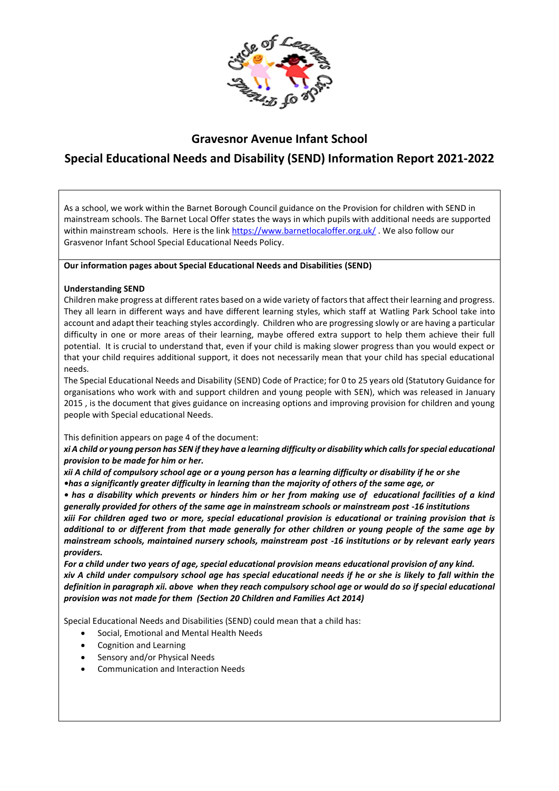

# **Gravesnor Avenue Infant School**

# **Special Educational Needs and Disability (SEND) Information Report 2021-2022**

As a school, we work within the Barnet Borough Council guidance on the Provision for children with SEND in mainstream schools. The Barnet Local Offer states the ways in which pupils with additional needs are supported within mainstream schools. Here is the link <https://www.barnetlocaloffer.org.uk/>. We also follow our Grasvenor Infant School Special Educational Needs Policy.

### **Our information pages about Special Educational Needs and Disabilities (SEND)**

### **Understanding SEND**

Children make progress at different rates based on a wide variety of factors that affect their learning and progress. They all learn in different ways and have different learning styles, which staff at Watling Park School take into account and adapt their teaching styles accordingly. Children who are progressing slowly or are having a particular difficulty in one or more areas of their learning, maybe offered extra support to help them achieve their full potential. It is crucial to understand that, even if your child is making slower progress than you would expect or that your child requires additional support, it does not necessarily mean that your child has special educational needs.

The Special Educational Needs and Disability (SEND) Code of Practice; for 0 to 25 years old (Statutory Guidance for organisations who work with and support children and young people with SEN), which was released in January 2015 , is the document that gives guidance on increasing options and improving provision for children and young people with Special educational Needs.

This definition appears on page 4 of the document:

*xi A child or young person has SEN if they have a learning difficulty or disability which calls for special educational provision to be made for him or her.* 

*xii A child of compulsory school age or a young person has a learning difficulty or disability if he or she •has a significantly greater difficulty in learning than the majority of others of the same age, or*

*• has a disability which prevents or hinders him or her from making use of educational facilities of a kind generally provided for others of the same age in mainstream schools or mainstream post -16 institutions*

*xiii For children aged two or more, special educational provision is educational or training provision that is additional to or different from that made generally for other children or young people of the same age by mainstream schools, maintained nursery schools, mainstream post -16 institutions or by relevant early years providers.* 

*For a child under two years of age, special educational provision means educational provision of any kind. xiv A child under compulsory school age has special educational needs if he or she is likely to fall within the*  definition in paragraph xii. above when they reach compulsory school age or would do so if special educational *provision was not made for them (Section 20 Children and Families Act 2014)*

Special Educational Needs and Disabilities (SEND) could mean that a child has:

- Social, Emotional and Mental Health Needs
- Cognition and Learning
- Sensory and/or Physical Needs
- Communication and Interaction Needs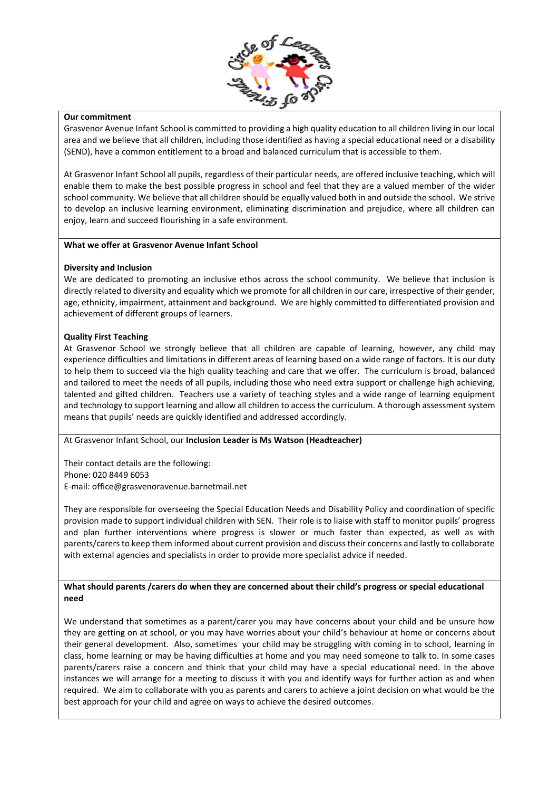

#### **Our commitment**

Grasvenor Avenue Infant School is committed to providing a high quality education to all children living in our local area and we believe that all children, including those identified as having a special educational need or a disability (SEND), have a common entitlement to a broad and balanced curriculum that is accessible to them.

At Grasvenor Infant School all pupils, regardless of their particular needs, are offered inclusive teaching, which will enable them to make the best possible progress in school and feel that they are a valued member of the wider school community. We believe that all children should be equally valued both in and outside the school. We strive to develop an inclusive learning environment, eliminating discrimination and prejudice, where all children can enjoy, learn and succeed flourishing in a safe environment.

#### **What we offer at Grasvenor Avenue Infant School**

### **Diversity and Inclusion**

We are dedicated to promoting an inclusive ethos across the school community. We believe that inclusion is directly related to diversity and equality which we promote for all children in our care, irrespective of their gender, age, ethnicity, impairment, attainment and background. We are highly committed to differentiated provision and achievement of different groups of learners.

### **Quality First Teaching**

At Grasvenor School we strongly believe that all children are capable of learning, however, any child may experience difficulties and limitations in different areas of learning based on a wide range of factors. It is our duty to help them to succeed via the high quality teaching and care that we offer. The curriculum is broad, balanced and tailored to meet the needs of all pupils, including those who need extra support or challenge high achieving, talented and gifted children. Teachers use a variety of teaching styles and a wide range of learning equipment and technology to support learning and allow all children to access the curriculum. A thorough assessment system means that pupils' needs are quickly identified and addressed accordingly.

## At Grasvenor Infant School, our **Inclusion Leader is Ms Watson (Headteacher)**

Their contact details are the following: Phone: 020 8449 6053 E-mail: office@grasvenoravenue.barnetmail.net

They are responsible for overseeing the Special Education Needs and Disability Policy and coordination of specific provision made to support individual children with SEN. Their role is to liaise with staff to monitor pupils' progress and plan further interventions where progress is slower or much faster than expected, as well as with parents/carersto keep them informed about current provision and discuss their concerns and lastly to collaborate with external agencies and specialists in order to provide more specialist advice if needed.

#### **What should parents /carers do when they are concerned about their child's progress or special educational need**

We understand that sometimes as a parent/carer you may have concerns about your child and be unsure how they are getting on at school, or you may have worries about your child's behaviour at home or concerns about their general development. Also, sometimes your child may be struggling with coming in to school, learning in class, home learning or may be having difficulties at home and you may need someone to talk to. In some cases parents/carers raise a concern and think that your child may have a special educational need. In the above instances we will arrange for a meeting to discuss it with you and identify ways for further action as and when required. We aim to collaborate with you as parents and carers to achieve a joint decision on what would be the best approach for your child and agree on ways to achieve the desired outcomes.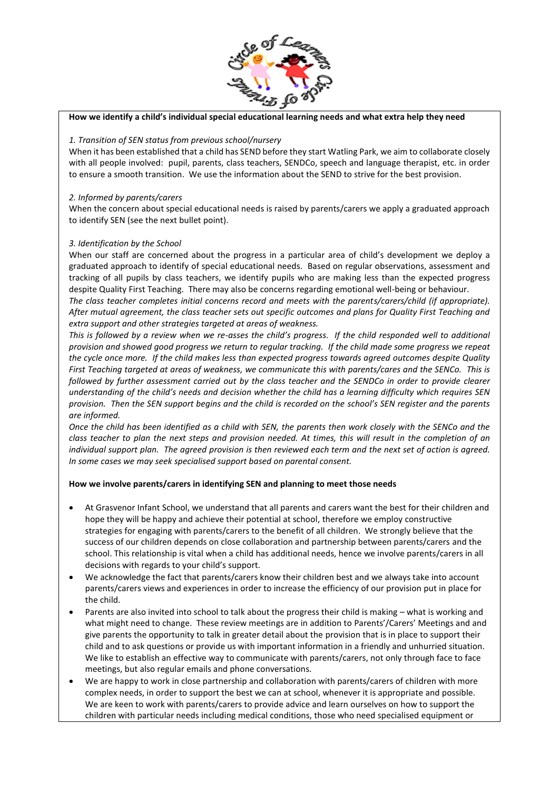

#### **How we identify a child's individual special educational learning needs and what extra help they need**

#### *1. Transition of SEN status from previous school/nursery*

When it has been established that a child has SEND before they start Watling Park, we aim to collaborate closely with all people involved: pupil, parents, class teachers, SENDCo, speech and language therapist, etc. in order to ensure a smooth transition. We use the information about the SEND to strive for the best provision.

### *2. Informed by parents/carers*

When the concern about special educational needs is raised by parents/carers we apply a graduated approach to identify SEN (see the next bullet point).

### *3. Identification by the School*

When our staff are concerned about the progress in a particular area of child's development we deploy a graduated approach to identify of special educational needs. Based on regular observations, assessment and tracking of all pupils by class teachers, we identify pupils who are making less than the expected progress despite Quality First Teaching. There may also be concerns regarding emotional well-being or behaviour.

*The class teacher completes initial concerns record and meets with the parents/carers/child (if appropriate). After mutual agreement, the class teacher sets out specific outcomes and plans for Quality First Teaching and extra support and other strategies targeted at areas of weakness.*

*This is followed by a review when we re-asses the child's progress. If the child responded well to additional provision and showed good progress we return to regular tracking. If the child made some progress we repeat the cycle once more. If the child makes less than expected progress towards agreed outcomes despite Quality First Teaching targeted at areas of weakness, we communicate this with parents/cares and the SENCo. This is followed by further assessment carried out by the class teacher and the SENDCo in order to provide clearer understanding of the child's needs and decision whether the child has a learning difficulty which requires SEN provision. Then the SEN support begins and the child is recorded on the school's SEN register and the parents are informed.*

*Once the child has been identified as a child with SEN, the parents then work closely with the SENCo and the class teacher to plan the next steps and provision needed. At times, this will result in the completion of an individual support plan. The agreed provision is then reviewed each term and the next set of action is agreed. In some cases we may seek specialised support based on parental consent.*

#### **How we involve parents/carers in identifying SEN and planning to meet those needs**

- At Grasvenor Infant School, we understand that all parents and carers want the best for their children and hope they will be happy and achieve their potential at school, therefore we employ constructive strategies for engaging with parents/carers to the benefit of all children. We strongly believe that the success of our children depends on close collaboration and partnership between parents/carers and the school. This relationship is vital when a child has additional needs, hence we involve parents/carers in all decisions with regards to your child's support.
- We acknowledge the fact that parents/carers know their children best and we always take into account parents/carers views and experiences in order to increase the efficiency of our provision put in place for the child.
- Parents are also invited into school to talk about the progress their child is making what is working and what might need to change. These review meetings are in addition to Parents'/Carers' Meetings and and give parents the opportunity to talk in greater detail about the provision that is in place to support their child and to ask questions or provide us with important information in a friendly and unhurried situation. We like to establish an effective way to communicate with parents/carers, not only through face to face meetings, but also regular emails and phone conversations.
- We are happy to work in close partnership and collaboration with parents/carers of children with more complex needs, in order to support the best we can at school, whenever it is appropriate and possible. We are keen to work with parents/carers to provide advice and learn ourselves on how to support the children with particular needs including medical conditions, those who need specialised equipment or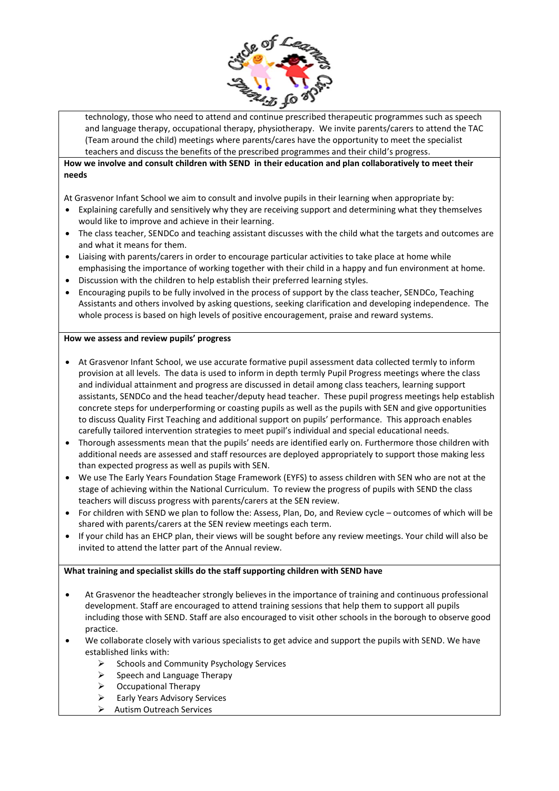

technology, those who need to attend and continue prescribed therapeutic programmes such as speech and language therapy, occupational therapy, physiotherapy. We invite parents/carers to attend the TAC (Team around the child) meetings where parents/cares have the opportunity to meet the specialist teachers and discuss the benefits of the prescribed programmes and their child's progress.

## **How we involve and consult children with SEND in their education and plan collaboratively to meet their needs**

At Grasvenor Infant School we aim to consult and involve pupils in their learning when appropriate by:

- Explaining carefully and sensitively why they are receiving support and determining what they themselves would like to improve and achieve in their learning.
- The class teacher, SENDCo and teaching assistant discusses with the child what the targets and outcomes are and what it means for them.
- Liaising with parents/carers in order to encourage particular activities to take place at home while emphasising the importance of working together with their child in a happy and fun environment at home.
- Discussion with the children to help establish their preferred learning styles.
- Encouraging pupils to be fully involved in the process of support by the class teacher, SENDCo, Teaching Assistants and others involved by asking questions, seeking clarification and developing independence. The whole process is based on high levels of positive encouragement, praise and reward systems.

#### **How we assess and review pupils' progress**

- At Grasvenor Infant School, we use accurate formative pupil assessment data collected termly to inform provision at all levels. The data is used to inform in depth termly Pupil Progress meetings where the class and individual attainment and progress are discussed in detail among class teachers, learning support assistants, SENDCo and the head teacher/deputy head teacher. These pupil progress meetings help establish concrete steps for underperforming or coasting pupils as well as the pupils with SEN and give opportunities to discuss Quality First Teaching and additional support on pupils' performance. This approach enables carefully tailored intervention strategies to meet pupil's individual and special educational needs.
- Thorough assessments mean that the pupils' needs are identified early on. Furthermore those children with additional needs are assessed and staff resources are deployed appropriately to support those making less than expected progress as well as pupils with SEN.
- We use The Early Years Foundation Stage Framework (EYFS) to assess children with SEN who are not at the stage of achieving within the National Curriculum. To review the progress of pupils with SEND the class teachers will discuss progress with parents/carers at the SEN review.
- For children with SEND we plan to follow the: Assess, Plan, Do, and Review cycle outcomes of which will be shared with parents/carers at the SEN review meetings each term.
- If your child has an EHCP plan, their views will be sought before any review meetings. Your child will also be invited to attend the latter part of the Annual review.

#### **What training and specialist skills do the staff supporting children with SEND have**

- At Grasvenor the headteacher strongly believes in the importance of training and continuous professional development. Staff are encouraged to attend training sessions that help them to support all pupils including those with SEND. Staff are also encouraged to visit other schools in the borough to observe good practice.
- We collaborate closely with various specialists to get advice and support the pupils with SEND. We have established links with:
	- Schools and Community Psychology Services
	- $\triangleright$  Speech and Language Therapy
	- $\triangleright$  Occupational Therapy
	- $\triangleright$  Early Years Advisory Services
	- Autism Outreach Services